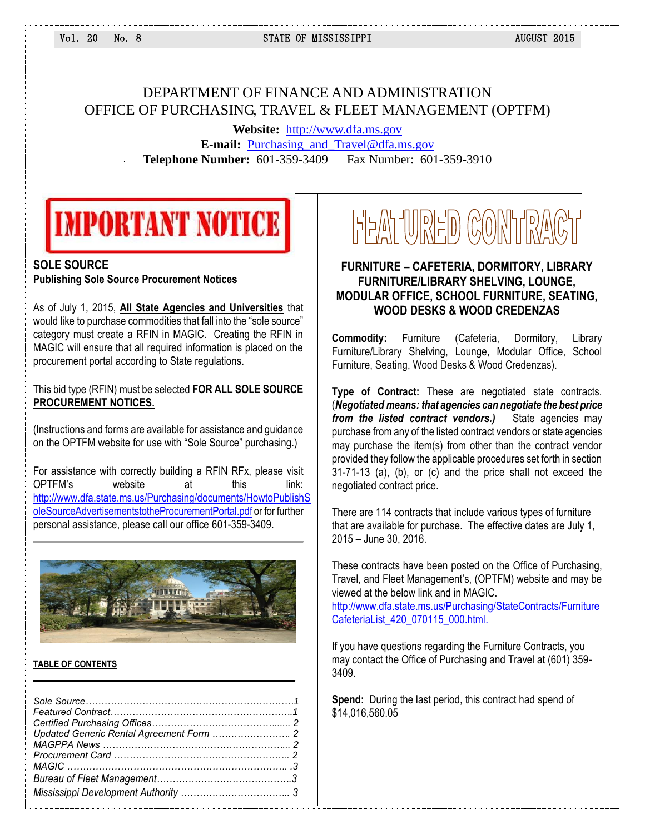## DEPARTMENT OF FINANCE AND ADMINISTRATION OFFICE OF PURCHASING, TRAVEL & FLEET MANAGEMENT (OPTFM)

**Website:** [http://www.dfa.ms.gov](http://www.dfa.ms.gov/) **E-mail:** [Purchasing\\_and\\_Travel@dfa.ms.gov](mailto:Purchasing_and_Travel@dfa.ms.gov) **Telephone Number:** 601-359-3409 Fax Number: 601-359-3910

## **IMPORTANT NOTICE**

#### **SOLE SOURCE Publishing Sole Source Procurement Notices**

As of July 1, 2015, **All State Agencies and Universities** that would like to purchase commodities that fall into the "sole source" category must create a RFIN in MAGIC. Creating the RFIN in MAGIC will ensure that all required information is placed on the procurement portal according to State regulations.

This bid type (RFIN) must be selected **FOR ALL SOLE SOURCE PROCUREMENT NOTICES.**

(Instructions and forms are available for assistance and guidance on the OPTFM website for use with "Sole Source" purchasing.)

For assistance with correctly building a RFIN RFx, please visit OPTFM's website at this link: [http://www.dfa.state.ms.us/Purchasing/documents/HowtoPublishS](http://www.dfa.state.ms.us/Purchasing/documents/HowtoPublishSoleSourceAdvertisementstotheProcurementPortal.pdf) [oleSourceAdvertisementstotheProcurementPortal.pdf](http://www.dfa.state.ms.us/Purchasing/documents/HowtoPublishSoleSourceAdvertisementstotheProcurementPortal.pdf) or for further personal assistance, please call our office 601-359-3409.



#### **TABLE OF CONTENTS**

 $\mathcal{L}_\mathcal{L} = \mathcal{L}_\mathcal{L}$  , where  $\mathcal{L}_\mathcal{L} = \mathcal{L}_\mathcal{L}$  , where  $\mathcal{L}_\mathcal{L} = \mathcal{L}_\mathcal{L}$  , where  $\mathcal{L}_\mathcal{L} = \mathcal{L}_\mathcal{L}$ 

# FEATURED CONTRACT

## **FURNITURE – CAFETERIA, DORMITORY, LIBRARY FURNITURE/LIBRARY SHELVING, LOUNGE, MODULAR OFFICE, SCHOOL FURNITURE, SEATING, WOOD DESKS & WOOD CREDENZAS**

**Commodity:** Furniture (Cafeteria, Dormitory, Library Furniture/Library Shelving, Lounge, Modular Office, School Furniture, Seating, Wood Desks & Wood Credenzas).

**Type of Contract:** These are negotiated state contracts. (*Negotiated means: that agencies can negotiate the best price from the listed contract vendors.)* State agencies may purchase from any of the listed contract vendors or state agencies may purchase the item(s) from other than the contract vendor provided they follow the applicable procedures set forth in section 31-71-13 (a), (b), or (c) and the price shall not exceed the negotiated contract price.

There are 114 contracts that include various types of furniture that are available for purchase. The effective dates are July 1, 2015 – June 30, 2016.

These contracts have been posted on the Office of Purchasing, Travel, and Fleet Management's, (OPTFM) website and may be viewed at the below link and in MAGIC.

[http://www.dfa.state.ms.us/Purchasing/StateContracts/Furniture](http://www.dfa.state.ms.us/Purchasing/StateContracts/FurnitureCafeteriaList_420_070115_000.html) [CafeteriaList\\_420\\_070115\\_000.html.](http://www.dfa.state.ms.us/Purchasing/StateContracts/FurnitureCafeteriaList_420_070115_000.html)

If you have questions regarding the Furniture Contracts, you may contact the Office of Purchasing and Travel at (601) 359- 3409.

**Spend:** During the last period, this contract had spend of \$14,016,560.05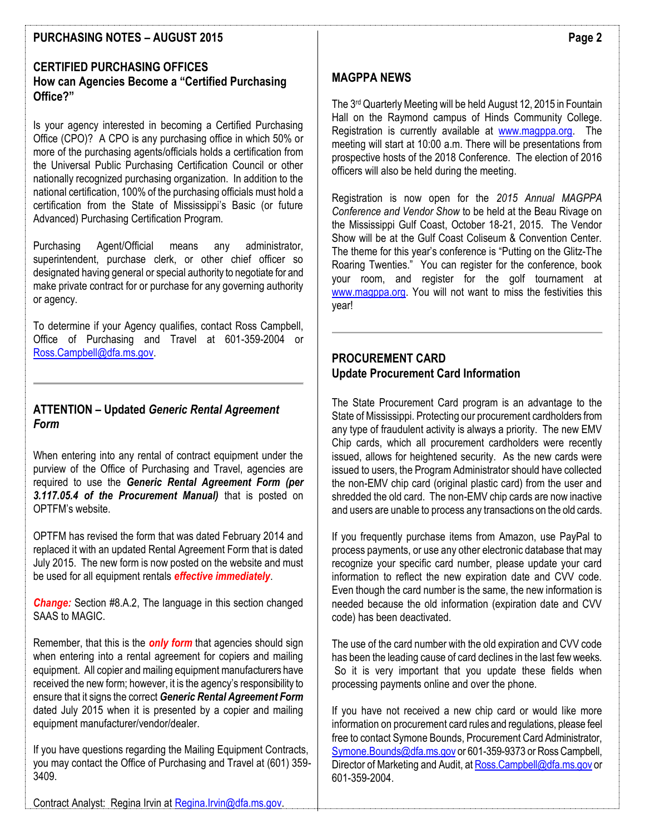## **PURCHASING NOTES – AUGUST 2015**

## **CERTIFIED PURCHASING OFFICES How can Agencies Become a "Certified Purchasing Office?"**

Is your agency interested in becoming a Certified Purchasing Office (CPO)? A CPO is any purchasing office in which 50% or more of the purchasing agents/officials holds a certification from the Universal Public Purchasing Certification Council or other nationally recognized purchasing organization. In addition to the national certification, 100% of the purchasing officials must hold a certification from the State of Mississippi's Basic (or future Advanced) Purchasing Certification Program.

Purchasing Agent/Official means any administrator, superintendent, purchase clerk, or other chief officer so designated having general or special authority to negotiate for and make private contract for or purchase for any governing authority or agency.

To determine if your Agency qualifies, contact Ross Campbell, Office of Purchasing and Travel at 601-359-2004 or [Ross.Campbell@dfa.ms.gov.](mailto:Ross.Campbell@dfa.ms.gov)

## **ATTENTION – Updated** *Generic Rental Agreement Form*

When entering into any rental of contract equipment under the purview of the Office of Purchasing and Travel, agencies are required to use the *Generic Rental Agreement Form (per 3.117.05.4 of the Procurement Manual)* that is posted on OPTFM's website.

OPTFM has revised the form that was dated February 2014 and replaced it with an updated Rental Agreement Form that is dated July 2015. The new form is now posted on the website and must be used for all equipment rentals *effective immediately*.

*Change:* Section #8.A.2, The language in this section changed SAAS to MAGIC.

Remember, that this is the *only form* that agencies should sign when entering into a rental agreement for copiers and mailing equipment. All copier and mailing equipment manufacturers have received the new form; however, it is the agency's responsibility to ensure that it signs the correct *Generic Rental Agreement Form* dated July 2015 when it is presented by a copier and mailing equipment manufacturer/vendor/dealer.

If you have questions regarding the Mailing Equipment Contracts, you may contact the Office of Purchasing and Travel at (601) 359- 3409.

**MAGPPA NEWS**

The 3rd Quarterly Meeting will be held August 12, 2015 in Fountain Hall on the Raymond campus of Hinds Community College. Registration is currently available at [www.magppa.org.](http://www.magppa.org/) The meeting will start at 10:00 a.m. There will be presentations from prospective hosts of the 2018 Conference. The election of 2016 officers will also be held during the meeting.

Registration is now open for the *2015 Annual MAGPPA Conference and Vendor Show* to be held at the Beau Rivage on the Mississippi Gulf Coast, October 18-21, 2015. The Vendor Show will be at the Gulf Coast Coliseum & Convention Center. The theme for this year's conference is "Putting on the Glitz-The Roaring Twenties." You can register for the conference, book your room, and register for the golf tournament at [www.magppa.org.](http://www.magppa.org/) You will not want to miss the festivities this year!

#### **PROCUREMENT CARD Update Procurement Card Information**

The State Procurement Card program is an advantage to the State of Mississippi. Protecting our procurement cardholders from any type of fraudulent activity is always a priority. The new EMV Chip cards, which all procurement cardholders were recently issued, allows for heightened security. As the new cards were issued to users, the Program Administrator should have collected the non-EMV chip card (original plastic card) from the user and shredded the old card. The non-EMV chip cards are now inactive and users are unable to process any transactions on the old cards.

If you frequently purchase items from Amazon, use PayPal to process payments, or use any other electronic database that may recognize your specific card number, please update your card information to reflect the new expiration date and CVV code. Even though the card number is the same, the new information is needed because the old information (expiration date and CVV code) has been deactivated.

The use of the card number with the old expiration and CVV code has been the leading cause of card declines in the last few weeks. So it is very important that you update these fields when processing payments online and over the phone.

If you have not received a new chip card or would like more information on procurement card rules and regulations, please feel free to contact Symone Bounds, Procurement Card Administrator, [Symone.Bounds@dfa.ms.gov](mailto:Symone.Bounds@dfa.ms.gov) or 601-359-9373 or Ross Campbell, Director of Marketing and Audit, a[t Ross.Campbell@dfa.ms.gov](mailto:Ross.Campbell@dfa.ms.gov) or 601-359-2004.

Contract Analyst: Regina Irvin at [Regina.Irvin@dfa.ms.gov.](mailto:Michael.Cook@dfa.ms.gov)